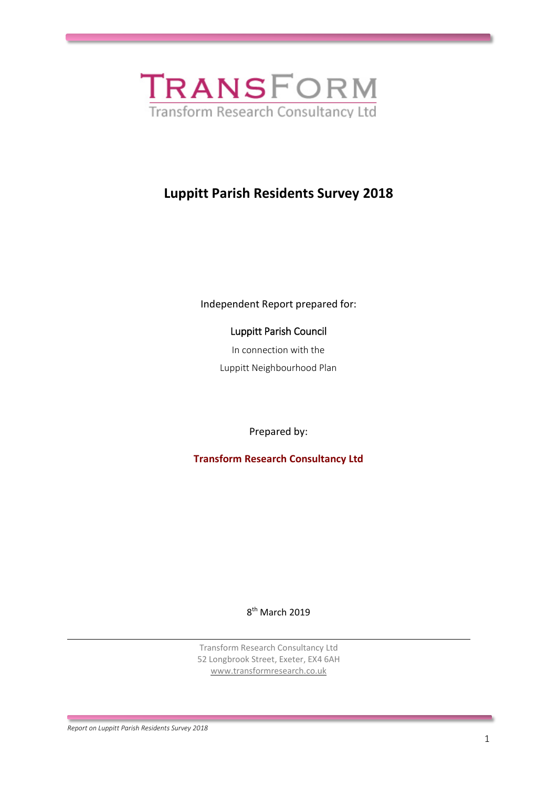

# **Luppitt Parish Residents Survey 2018**

Independent Report prepared for:

Luppitt Parish Council

In connection with the Luppitt Neighbourhood Plan

Prepared by:

**Transform Research Consultancy Ltd**

8<sup>th</sup> March 2019

Transform Research Consultancy Ltd 52 Longbrook Street, Exeter, EX4 6AH [www.transformresearch.co.uk](http://www.transformresearch.co.uk/)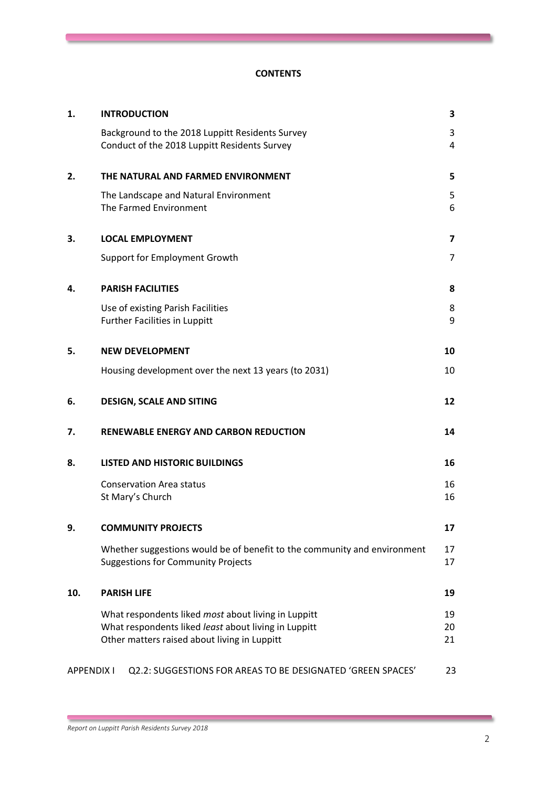#### **CONTENTS**

| 1.                | <b>INTRODUCTION</b>                                                                                                   | 3                       |
|-------------------|-----------------------------------------------------------------------------------------------------------------------|-------------------------|
|                   | Background to the 2018 Luppitt Residents Survey<br>Conduct of the 2018 Luppitt Residents Survey                       | 3<br>4                  |
| 2.                | THE NATURAL AND FARMED ENVIRONMENT                                                                                    | 5                       |
|                   | The Landscape and Natural Environment<br>The Farmed Environment                                                       | 5<br>6                  |
| 3.                | <b>LOCAL EMPLOYMENT</b>                                                                                               | $\overline{\mathbf{z}}$ |
|                   | Support for Employment Growth                                                                                         | 7                       |
| 4.                | <b>PARISH FACILITIES</b>                                                                                              | 8                       |
|                   | Use of existing Parish Facilities<br>Further Facilities in Luppitt                                                    | 8<br>9                  |
| 5.                | <b>NEW DEVELOPMENT</b>                                                                                                | 10                      |
|                   | Housing development over the next 13 years (to 2031)                                                                  | 10                      |
| 6.                | <b>DESIGN, SCALE AND SITING</b>                                                                                       | 12                      |
| 7.                | <b>RENEWABLE ENERGY AND CARBON REDUCTION</b>                                                                          | 14                      |
| 8.                | <b>LISTED AND HISTORIC BUILDINGS</b>                                                                                  | 16                      |
|                   | <b>Conservation Area status</b><br>St Mary's Church                                                                   | 16<br>16                |
| 9.                | <b>COMMUNITY PROJECTS</b>                                                                                             | 17                      |
|                   | Whether suggestions would be of benefit to the community and environment<br><b>Suggestions for Community Projects</b> | 17<br>17                |
| 10.               | <b>PARISH LIFE</b>                                                                                                    | 19                      |
|                   | What respondents liked most about living in Luppitt                                                                   | 19                      |
|                   | What respondents liked least about living in Luppitt<br>Other matters raised about living in Luppitt                  | 20<br>21                |
| <b>APPENDIX I</b> | Q2.2: SUGGESTIONS FOR AREAS TO BE DESIGNATED 'GREEN SPACES'                                                           | 23                      |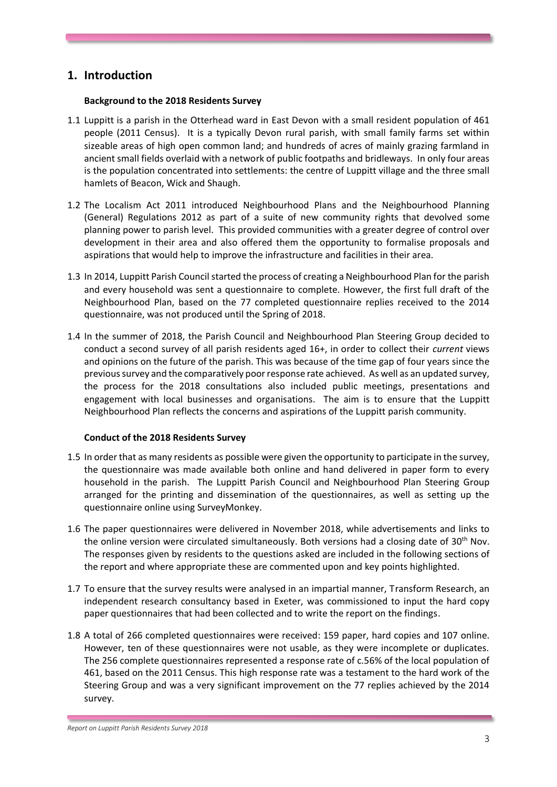## **1. Introduction**

#### **Background to the 2018 Residents Survey**

- 1.1 Luppitt is a parish in the Otterhead ward in East Devon with a small resident population of 461 people (2011 Census). It is a typically Devon rural parish, with small family farms set within sizeable areas of high open common land; and hundreds of acres of mainly grazing farmland in ancient small fields overlaid with a network of public footpaths and bridleways. In only four areas is the population concentrated into settlements: the centre of Luppitt village and the three small hamlets of Beacon, Wick and Shaugh.
- 1.2 The Localism Act 2011 introduced Neighbourhood Plans and the Neighbourhood Planning (General) Regulations 2012 as part of a suite of new community rights that devolved some planning power to parish level. This provided communities with a greater degree of control over development in their area and also offered them the opportunity to formalise proposals and aspirations that would help to improve the infrastructure and facilities in their area.
- 1.3 In 2014, Luppitt Parish Council started the process of creating a Neighbourhood Plan for the parish and every household was sent a questionnaire to complete. However, the first full draft of the Neighbourhood Plan, based on the 77 completed questionnaire replies received to the 2014 questionnaire, was not produced until the Spring of 2018.
- 1.4 In the summer of 2018, the Parish Council and Neighbourhood Plan Steering Group decided to conduct a second survey of all parish residents aged 16+, in order to collect their *current* views and opinions on the future of the parish. This was because of the time gap of four years since the previous survey and the comparatively poor response rate achieved. As well as an updated survey, the process for the 2018 consultations also included public meetings, presentations and engagement with local businesses and organisations. The aim is to ensure that the Luppitt Neighbourhood Plan reflects the concerns and aspirations of the Luppitt parish community.

#### **Conduct of the 2018 Residents Survey**

- 1.5 In order that as many residents as possible were given the opportunity to participate in the survey, the questionnaire was made available both online and hand delivered in paper form to every household in the parish. The Luppitt Parish Council and Neighbourhood Plan Steering Group arranged for the printing and dissemination of the questionnaires, as well as setting up the questionnaire online using SurveyMonkey.
- 1.6 The paper questionnaires were delivered in November 2018, while advertisements and links to the online version were circulated simultaneously. Both versions had a closing date of 30<sup>th</sup> Nov. The responses given by residents to the questions asked are included in the following sections of the report and where appropriate these are commented upon and key points highlighted.
- 1.7 To ensure that the survey results were analysed in an impartial manner, Transform Research, an independent research consultancy based in Exeter, was commissioned to input the hard copy paper questionnaires that had been collected and to write the report on the findings.
- 1.8 A total of 266 completed questionnaires were received: 159 paper, hard copies and 107 online. However, ten of these questionnaires were not usable, as they were incomplete or duplicates. The 256 complete questionnaires represented a response rate of c.56% of the local population of 461, based on the 2011 Census. This high response rate was a testament to the hard work of the Steering Group and was a very significant improvement on the 77 replies achieved by the 2014 survey.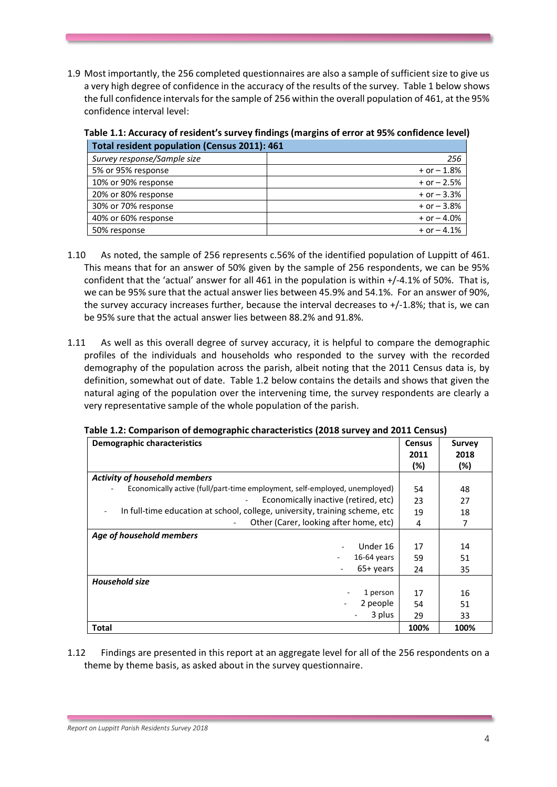1.9 Most importantly, the 256 completed questionnaires are also a sample of sufficient size to give us a very high degree of confidence in the accuracy of the results of the survey. Table 1 below shows the full confidence intervals for the sample of 256 within the overall population of 461, at the 95% confidence interval level:

| Table 1.1: Accuracy of resident's survey findings (margins of error at 95% confidence level) |  |  |  |  |  |
|----------------------------------------------------------------------------------------------|--|--|--|--|--|
| Total resident population (Census 2011): 461                                                 |  |  |  |  |  |

| TOtal resident population (Census 2011). 401 |                 |
|----------------------------------------------|-----------------|
| Survey response/Sample size                  | 256             |
| 5% or 95% response                           | $+$ or $-1.8%$  |
| 10% or 90% response                          | $+$ or $-$ 2.5% |
| 20% or 80% response                          | $+$ or $-$ 3.3% |
| 30% or 70% response                          | $+$ or $-$ 3.8% |
| 40% or 60% response                          | $+$ or $-$ 4.0% |
| 50% response                                 | $+$ or $-$ 4.1% |

- 1.10 As noted, the sample of 256 represents c.56% of the identified population of Luppitt of 461. This means that for an answer of 50% given by the sample of 256 respondents, we can be 95% confident that the 'actual' answer for all 461 in the population is within +/-4.1% of 50%. That is, we can be 95% sure that the actual answer lies between 45.9% and 54.1%. For an answer of 90%, the survey accuracy increases further, because the interval decreases to +/-1.8%; that is, we can be 95% sure that the actual answer lies between 88.2% and 91.8%.
- 1.11 As well as this overall degree of survey accuracy, it is helpful to compare the demographic profiles of the individuals and households who responded to the survey with the recorded demography of the population across the parish, albeit noting that the 2011 Census data is, by definition, somewhat out of date. Table 1.2 below contains the details and shows that given the natural aging of the population over the intervening time, the survey respondents are clearly a very representative sample of the whole population of the parish.

| <b>Demographic characteristics</b>                                                                       | <b>Census</b> | <b>Survey</b> |
|----------------------------------------------------------------------------------------------------------|---------------|---------------|
|                                                                                                          | 2011<br>(%)   | 2018<br>(%)   |
| <b>Activity of household members</b>                                                                     |               |               |
| Economically active (full/part-time employment, self-employed, unemployed)                               | 54            | 48            |
| Economically inactive (retired, etc)<br>$\overline{\phantom{a}}$                                         | 23            | 27            |
| In full-time education at school, college, university, training scheme, etc.<br>$\overline{\phantom{a}}$ | 19            | 18            |
| Other (Carer, looking after home, etc)                                                                   | 4             | 7             |
| Age of household members                                                                                 |               |               |
| Under 16                                                                                                 | 17            | 14            |
| $16-64$ years                                                                                            | 59            | 51            |
| $65+$ years                                                                                              | 24            | 35            |
| <b>Household size</b>                                                                                    |               |               |
| 1 person                                                                                                 | 17            | 16            |
| 2 people<br>÷                                                                                            | 54            | 51            |
| 3 plus                                                                                                   | 29            | 33            |
| <b>Total</b>                                                                                             | 100%          | 100%          |

1.12 Findings are presented in this report at an aggregate level for all of the 256 respondents on a theme by theme basis, as asked about in the survey questionnaire.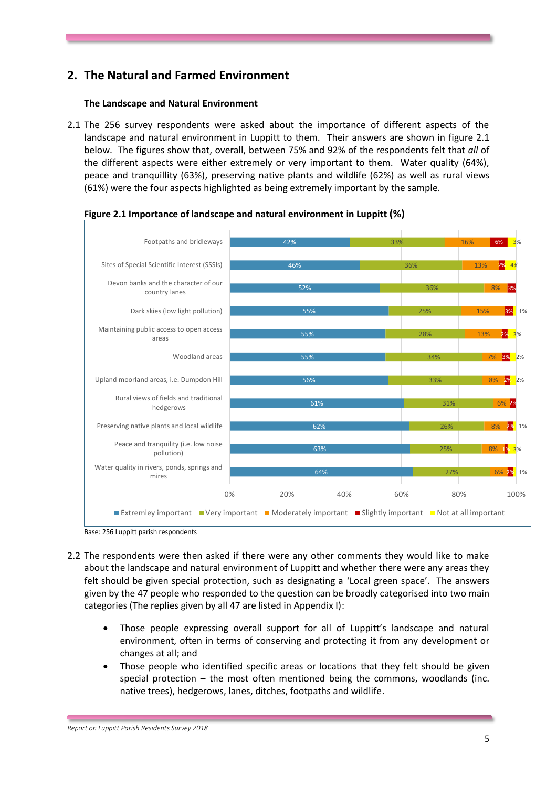# **2. The Natural and Farmed Environment**

### **The Landscape and Natural Environment**

2.1 The 256 survey respondents were asked about the importance of different aspects of the landscape and natural environment in Luppitt to them. Their answers are shown in figure 2.1 below. The figures show that, overall, between 75% and 92% of the respondents felt that *all* of the different aspects were either extremely or very important to them. Water quality (64%), peace and tranquillity (63%), preserving native plants and wildlife (62%) as well as rural views (61%) were the four aspects highlighted as being extremely important by the sample.



**Figure 2.1 Importance of landscape and natural environment in Luppitt (%)**

Base: 256 Luppitt parish respondents

- 2.2 The respondents were then asked if there were any other comments they would like to make about the landscape and natural environment of Luppitt and whether there were any areas they felt should be given special protection, such as designating a 'Local green space'. The answers given by the 47 people who responded to the question can be broadly categorised into two main categories (The replies given by all 47 are listed in Appendix I):
	- Those people expressing overall support for all of Luppitt's landscape and natural environment, often in terms of conserving and protecting it from any development or changes at all; and
	- Those people who identified specific areas or locations that they felt should be given special protection – the most often mentioned being the commons, woodlands (inc. native trees), hedgerows, lanes, ditches, footpaths and wildlife.

*Report on Luppitt Parish Residents Survey 2018*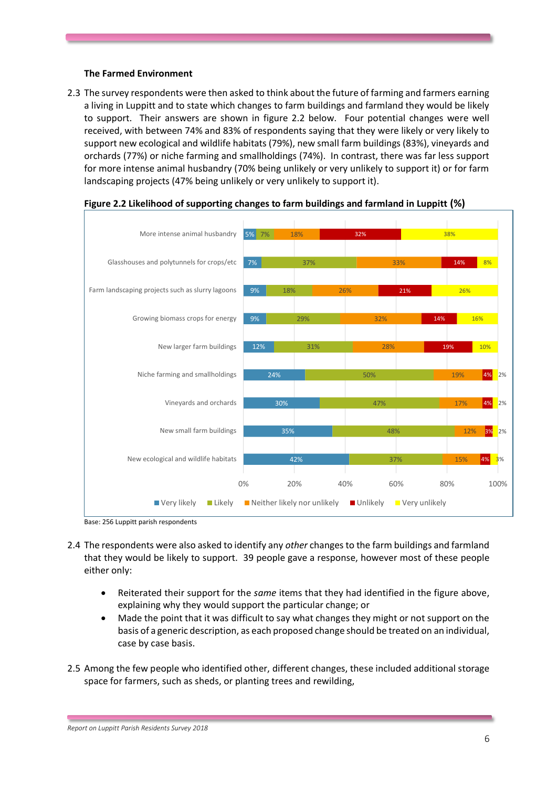#### **The Farmed Environment**

2.3 The survey respondents were then asked to think about the future of farming and farmers earning a living in Luppitt and to state which changes to farm buildings and farmland they would be likely to support. Their answers are shown in figure 2.2 below. Four potential changes were well received, with between 74% and 83% of respondents saying that they were likely or very likely to support new ecological and wildlife habitats (79%), new small farm buildings (83%), vineyards and orchards (77%) or niche farming and smallholdings (74%). In contrast, there was far less support for more intense animal husbandry (70% being unlikely or very unlikely to support it) or for farm landscaping projects (47% being unlikely or very unlikely to support it).





Base: 256 Luppitt parish respondents

- 2.4 The respondents were also asked to identify any *other* changes to the farm buildings and farmland that they would be likely to support. 39 people gave a response, however most of these people either only:
	- Reiterated their support for the *same* items that they had identified in the figure above, explaining why they would support the particular change; or
	- Made the point that it was difficult to say what changes they might or not support on the basis of a generic description, as each proposed change should be treated on an individual, case by case basis.
- 2.5 Among the few people who identified other, different changes, these included additional storage space for farmers, such as sheds, or planting trees and rewilding,

*Report on Luppitt Parish Residents Survey 2018*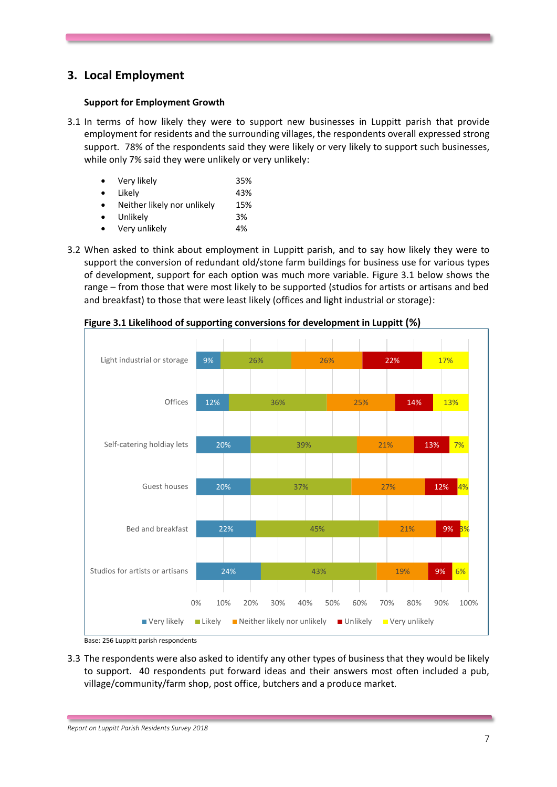# **3. Local Employment**

#### **Support for Employment Growth**

3.1 In terms of how likely they were to support new businesses in Luppitt parish that provide employment for residents and the surrounding villages, the respondents overall expressed strong support. 78% of the respondents said they were likely or very likely to support such businesses, while only 7% said they were unlikely or very unlikely:

| $\bullet$ | Very likely                 | 35% |
|-----------|-----------------------------|-----|
| $\bullet$ | Likely                      | 43% |
|           | Neither likely nor unlikely | 15% |
| $\bullet$ | Unlikely                    | 3%  |
|           | Very unlikely               | 4%  |

3.2 When asked to think about employment in Luppitt parish, and to say how likely they were to support the conversion of redundant old/stone farm buildings for business use for various types of development, support for each option was much more variable. Figure 3.1 below shows the range – from those that were most likely to be supported (studios for artists or artisans and bed and breakfast) to those that were least likely (offices and light industrial or storage):



**Figure 3.1 Likelihood of supporting conversions for development in Luppitt (%)**

3.3 The respondents were also asked to identify any other types of business that they would be likely to support. 40 respondents put forward ideas and their answers most often included a pub, village/community/farm shop, post office, butchers and a produce market.

Base: 256 Luppitt parish respondents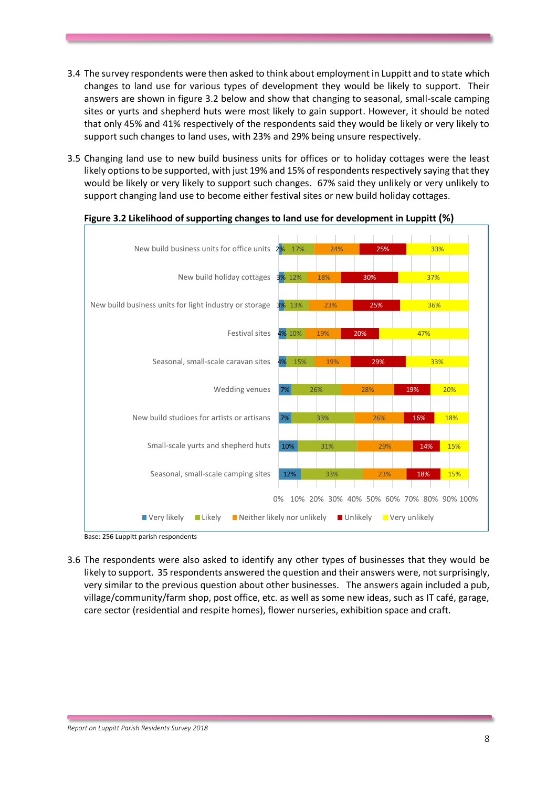- 3.4 The survey respondents were then asked to think about employment in Luppitt and to state which changes to land use for various types of development they would be likely to support. Their answers are shown in figure 3.2 below and show that changing to seasonal, small-scale camping sites or yurts and shepherd huts were most likely to gain support. However, it should be noted that only 45% and 41% respectively of the respondents said they would be likely or very likely to support such changes to land uses, with 23% and 29% being unsure respectively.
- 3.5 Changing land use to new build business units for offices or to holiday cottages were the least likely options to be supported, with just 19% and 15% of respondents respectively saying that they would be likely or very likely to support such changes. 67% said they unlikely or very unlikely to support changing land use to become either festival sites or new build holiday cottages.



### **Figure 3.2 Likelihood of supporting changes to land use for development in Luppitt (%)**

Base: 256 Luppitt parish respondents

3.6 The respondents were also asked to identify any other types of businesses that they would be likely to support. 35 respondents answered the question and their answers were, not surprisingly, very similar to the previous question about other businesses. The answers again included a pub, village/community/farm shop, post office, etc. as well as some new ideas, such as IT café, garage, care sector (residential and respite homes), flower nurseries, exhibition space and craft.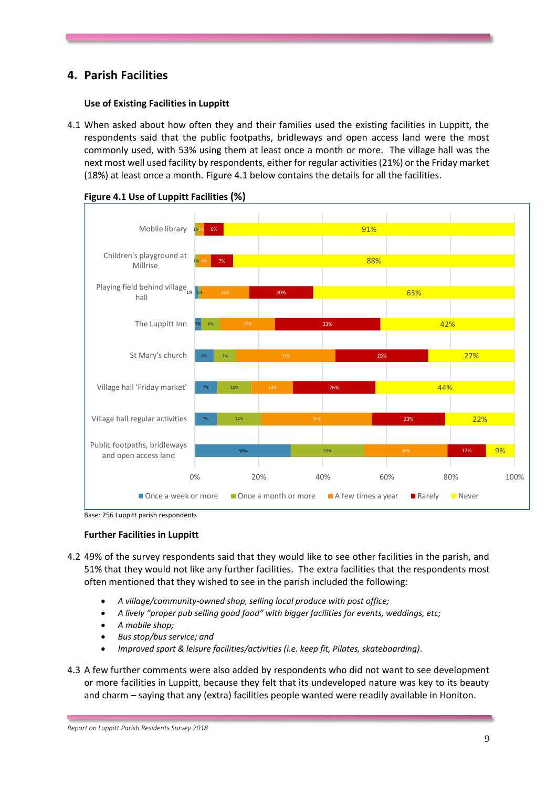# **4. Parish Facilities**

### **Use of Existing Facilities in Luppitt**

4.1 When asked about how often they and their families used the existing facilities in Luppitt, the respondents said that the public footpaths, bridleways and open access land were the most commonly used, with 53% using them at least once a month or more. The village hall was the next most well used facility by respondents, either for regular activities (21%) or the Friday market (18%) at least once a month. Figure 4.1 below contains the details for all the facilities.



**Figure 4.1 Use of Luppitt Facilities (%)**

Base: 256 Luppitt parish respondents

#### **Further Facilities in Luppitt**

- 4.2 49% of the survey respondents said that they would like to see other facilities in the parish, and 51% that they would not like any further facilities. The extra facilities that the respondents most often mentioned that they wished to see in the parish included the following:
	- *A village/community-owned shop, selling local produce with post office;*
	- *A lively "proper pub selling good food" with bigger facilities for events, weddings, etc;*
	- *A mobile shop;*
	- *Bus stop/bus service; and*
	- *Improved sport & leisure facilities/activities (i.e. keep fit, Pilates, skateboarding).*
- 4.3 A few further comments were also added by respondents who did not want to see development or more facilities in Luppitt, because they felt that its undeveloped nature was key to its beauty and charm – saying that any (extra) facilities people wanted were readily available in Honiton.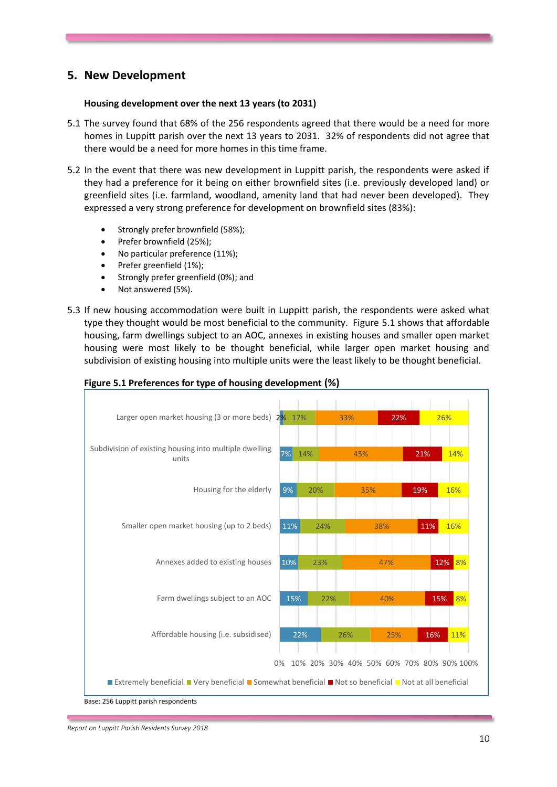# **5. New Development**

#### **Housing development over the next 13 years (to 2031)**

- 5.1 The survey found that 68% of the 256 respondents agreed that there would be a need for more homes in Luppitt parish over the next 13 years to 2031. 32% of respondents did not agree that there would be a need for more homes in this time frame.
- 5.2 In the event that there was new development in Luppitt parish, the respondents were asked if they had a preference for it being on either brownfield sites (i.e. previously developed land) or greenfield sites (i.e. farmland, woodland, amenity land that had never been developed). They expressed a very strong preference for development on brownfield sites (83%):
	- Strongly prefer brownfield (58%);
	- Prefer brownfield (25%);
	- No particular preference (11%);
	- Prefer greenfield (1%);
	- Strongly prefer greenfield (0%); and
	- Not answered (5%).
- 5.3 If new housing accommodation were built in Luppitt parish, the respondents were asked what type they thought would be most beneficial to the community. Figure 5.1 shows that affordable housing, farm dwellings subject to an AOC, annexes in existing houses and smaller open market housing were most likely to be thought beneficial, while larger open market housing and subdivision of existing housing into multiple units were the least likely to be thought beneficial.

| Larger open market housing (3 or more beds) 2% 17%                                                         |     |     |     | 33% |                                             | 22% |     | 26% |     |
|------------------------------------------------------------------------------------------------------------|-----|-----|-----|-----|---------------------------------------------|-----|-----|-----|-----|
| Subdivision of existing housing into multiple dwelling<br>units                                            | 7%  | 14% |     | 45% |                                             |     | 21% |     | 14% |
| Housing for the elderly                                                                                    | 9%  | 20% |     |     | 35%                                         |     | 19% |     | 16% |
| Smaller open market housing (up to 2 beds)                                                                 | 11% |     | 24% |     | 38%                                         |     | 11% |     | 16% |
| Annexes added to existing houses                                                                           | 10% |     | 23% |     | 47%                                         |     |     | 12% | 8%  |
| Farm dwellings subject to an AOC                                                                           | 15% |     | 22% |     | 40%                                         |     |     | 15% | 8%  |
| Affordable housing (i.e. subsidised)                                                                       |     | 22% |     | 26% |                                             | 25% |     | 16% | 11% |
| ■ Extremely beneficial ■ Very beneficial ■ Somewhat beneficial ■ Not so beneficial ■ Not at all beneficial |     |     |     |     | 0% 10% 20% 30% 40% 50% 60% 70% 80% 90% 100% |     |     |     |     |

#### **Figure 5.1 Preferences for type of housing development (%)**

Base: 256 Luppitt parish respondents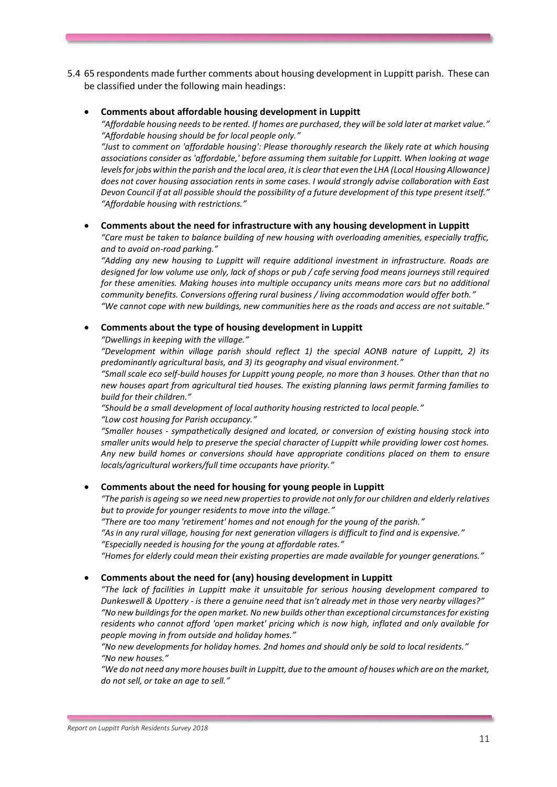- 5.4 65 respondents made further comments about housing development in Luppitt parish. These can be classified under the following main headings:
	- **Comments about affordable housing development in Luppitt**

*"Affordable housing needs to be rented. If homes are purchased, they will be sold later at market value." "Affordable housing should be for local people only."*

*"Just to comment on 'affordable housing': Please thoroughly research the likely rate at which housing associations consider as 'affordable,' before assuming them suitable for Luppitt. When looking at wage levels for jobs within the parish and the local area, it is clear that even the LHA (Local Housing Allowance) does not cover housing association rents in some cases. I would strongly advise collaboration with East Devon Council if at all possible should the possibility of a future development of this type present itself." "Affordable housing with restrictions."*

#### • **Comments about the need for infrastructure with any housing development in Luppitt**

*"Care must be taken to balance building of new housing with overloading amenities, especially traffic, and to avoid on-road parking."*

*"Adding any new housing to Luppitt will require additional investment in infrastructure. Roads are designed for low volume use only, lack of shops or pub / cafe serving food means journeys still required for these amenities. Making houses into multiple occupancy units means more cars but no additional community benefits. Conversions offering rural business / living accommodation would offer both." "We cannot cope with new buildings, new communities here as the roads and access are not suitable."*

#### • **Comments about the type of housing development in Luppitt**

*"Dwellings in keeping with the village."*

*"Development within village parish should reflect 1) the special AONB nature of Luppitt, 2) its predominantly agricultural basis, and 3) its geography and visual environment."*

*"Small scale eco self-build houses for Luppitt young people, no more than 3 houses. Other than that no new houses apart from agricultural tied houses. The existing planning laws permit farming families to build for their children."*

*"Should be a small development of local authority housing restricted to local people." "Low cost housing for Parish occupancy."*

*"Smaller houses - sympathetically designed and located, or conversion of existing housing stock into smaller units would help to preserve the special character of Luppitt while providing lower cost homes. Any new build homes or conversions should have appropriate conditions placed on them to ensure locals/agricultural workers/full time occupants have priority."*

#### • **Comments about the need for housing for young people in Luppitt**

*"The parish is ageing so we need new properties to provide not only for our children and elderly relatives but to provide for younger residents to move into the village."*

*"There are too many 'retirement' homes and not enough for the young of the parish."*

*"As in any rural village, housing for next generation villagers is difficult to find and is expensive." "Especially needed is housing for the young at affordable rates."*

*"Homes for elderly could mean their existing properties are made available for younger generations."*

#### • **Comments about the need for (any) housing development in Luppitt**

*"The lack of facilities in Luppitt make it unsuitable for serious housing development compared to Dunkeswell & Upottery - is there a genuine need that isn't already met in those very nearby villages?" "No new buildings for the open market. No new builds other than exceptional circumstances for existing residents who cannot afford 'open market' pricing which is now high, inflated and only available for people moving in from outside and holiday homes."*

*"No new developments for holiday homes. 2nd homes and should only be sold to local residents." "No new houses."*

*"We do not need any more houses built in Luppitt, due to the amount of houses which are on the market, do not sell, or take an age to sell."*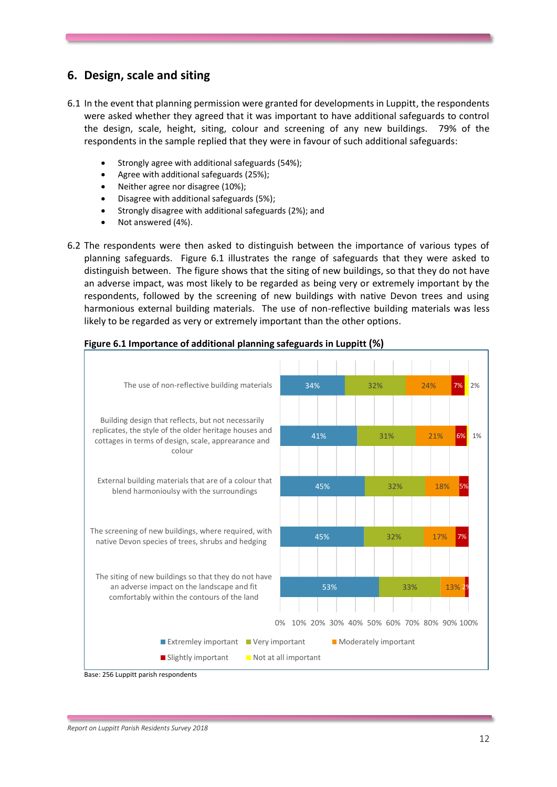# **6. Design, scale and siting**

- 6.1 In the event that planning permission were granted for developments in Luppitt, the respondents were asked whether they agreed that it was important to have additional safeguards to control the design, scale, height, siting, colour and screening of any new buildings. 79% of the respondents in the sample replied that they were in favour of such additional safeguards:
	- Strongly agree with additional safeguards (54%);
	- Agree with additional safeguards (25%);
	- Neither agree nor disagree (10%);
	- Disagree with additional safeguards (5%);
	- Strongly disagree with additional safeguards (2%); and
	- Not answered (4%).
- 6.2 The respondents were then asked to distinguish between the importance of various types of planning safeguards. Figure 6.1 illustrates the range of safeguards that they were asked to distinguish between. The figure shows that the siting of new buildings, so that they do not have an adverse impact, was most likely to be regarded as being very or extremely important by the respondents, followed by the screening of new buildings with native Devon trees and using harmonious external building materials. The use of non-reflective building materials was less likely to be regarded as very or extremely important than the other options.





Base: 256 Luppitt parish respondents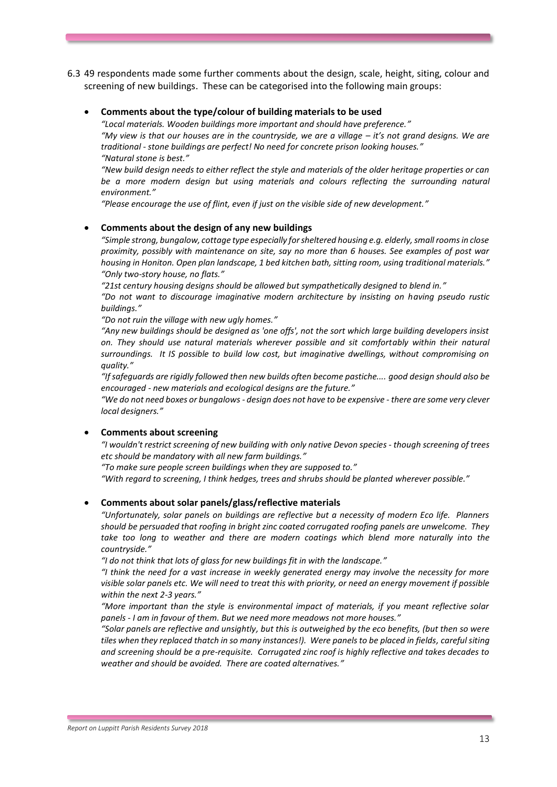- 6.3 49 respondents made some further comments about the design, scale, height, siting, colour and screening of new buildings. These can be categorised into the following main groups:
	- **Comments about the type/colour of building materials to be used**

*"Local materials. Wooden buildings more important and should have preference."*

"My view is that our houses are in the countryside, we are a village – it's not grand designs. We are *traditional - stone buildings are perfect! No need for concrete prison looking houses." "Natural stone is best."*

*"New build design needs to either reflect the style and materials of the older heritage properties or can be a more modern design but using materials and colours reflecting the surrounding natural environment."*

*"Please encourage the use of flint, even if just on the visible side of new development."*

#### • **Comments about the design of any new buildings**

*"Simple strong, bungalow, cottage type especially for sheltered housing e.g. elderly, small rooms in close proximity, possibly with maintenance on site, say no more than 6 houses. See examples of post war housing in Honiton. Open plan landscape, 1 bed kitchen bath, sitting room, using traditional materials." "Only two-story house, no flats."*

*"21st century housing designs should be allowed but sympathetically designed to blend in."*

*"Do not want to discourage imaginative modern architecture by insisting on having pseudo rustic buildings."*

*"Do not ruin the village with new ugly homes."*

*"Any new buildings should be designed as 'one offs', not the sort which large building developers insist on. They should use natural materials wherever possible and sit comfortably within their natural surroundings. It IS possible to build low cost, but imaginative dwellings, without compromising on quality."*

*"If safeguards are rigidly followed then new builds often become pastiche.... good design should also be encouraged - new materials and ecological designs are the future."*

*"We do not need boxes or bungalows - design does not have to be expensive - there are some very clever local designers."*

#### • **Comments about screening**

*"I wouldn't restrict screening of new building with only native Devon species - though screening of trees etc should be mandatory with all new farm buildings."*

*"To make sure people screen buildings when they are supposed to."* 

*"With regard to screening, I think hedges, trees and shrubs should be planted wherever possible."*

#### • **Comments about solar panels/glass/reflective materials**

*"Unfortunately, solar panels on buildings are reflective but a necessity of modern Eco life. Planners should be persuaded that roofing in bright zinc coated corrugated roofing panels are unwelcome. They take too long to weather and there are modern coatings which blend more naturally into the countryside."*

*"I do not think that lots of glass for new buildings fit in with the landscape."*

*"I think the need for a vast increase in weekly generated energy may involve the necessity for more visible solar panels etc. We will need to treat this with priority, or need an energy movement if possible within the next 2-3 years."*

*"More important than the style is environmental impact of materials, if you meant reflective solar panels - I am in favour of them. But we need more meadows not more houses."*

*"Solar panels are reflective and unsightly, but this is outweighed by the eco benefits, (but then so were tiles when they replaced thatch in so many instances!). Were panels to be placed in fields, careful siting and screening should be a pre-requisite. Corrugated zinc roof is highly reflective and takes decades to weather and should be avoided. There are coated alternatives."*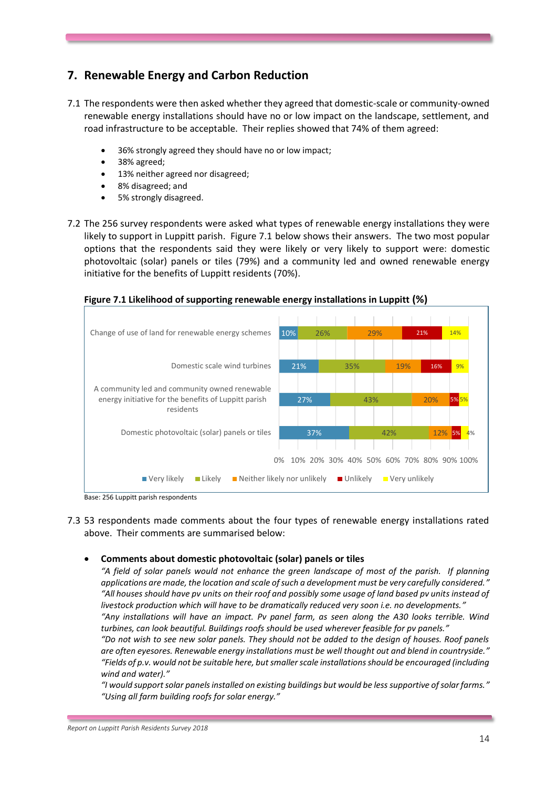# **7. Renewable Energy and Carbon Reduction**

- 7.1 The respondents were then asked whether they agreed that domestic-scale or community-owned renewable energy installations should have no or low impact on the landscape, settlement, and road infrastructure to be acceptable. Their replies showed that 74% of them agreed:
	- 36% strongly agreed they should have no or low impact;
	- 38% agreed;
	- 13% neither agreed nor disagreed;
	- 8% disagreed; and
	- 5% strongly disagreed.
- 7.2 The 256 survey respondents were asked what types of renewable energy installations they were likely to support in Luppitt parish. Figure 7.1 below shows their answers. The two most popular options that the respondents said they were likely or very likely to support were: domestic photovoltaic (solar) panels or tiles (79%) and a community led and owned renewable energy initiative for the benefits of Luppitt residents (70%).

**Figure 7.1 Likelihood of supporting renewable energy installations in Luppitt (%)**



- Base: 256 Luppitt parish respondents
- 7.3 53 respondents made comments about the four types of renewable energy installations rated above. Their comments are summarised below:

#### • **Comments about domestic photovoltaic (solar) panels or tiles**

*"A field of solar panels would not enhance the green landscape of most of the parish. If planning applications are made, the location and scale of such a development must be very carefully considered." "All houses should have pv units on their roof and possibly some usage of land based pv units instead of livestock production which will have to be dramatically reduced very soon i.e. no developments."*

*"Any installations will have an impact. Pv panel farm, as seen along the A30 looks terrible. Wind turbines, can look beautiful. Buildings roofs should be used wherever feasible for pv panels."*

*"Do not wish to see new solar panels. They should not be added to the design of houses. Roof panels are often eyesores. Renewable energy installations must be well thought out and blend in countryside." "Fields of p.v. would not be suitable here, but smaller scale installations should be encouraged (including wind and water)."*

*"I would support solar panels installed on existing buildings but would be less supportive of solar farms." "Using all farm building roofs for solar energy."*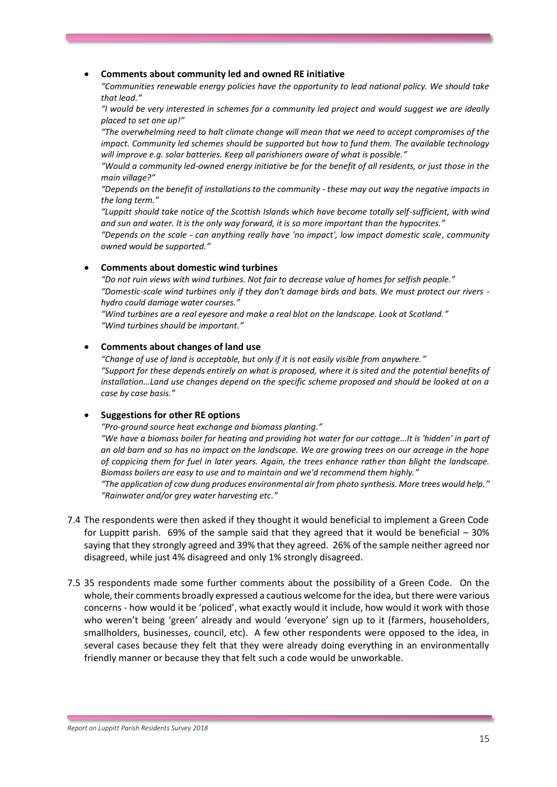#### • **Comments about community led and owned RE initiative**

*"Communities renewable energy policies have the opportunity to lead national policy. We should take that lead."*

*"I would be very interested in schemes for a community led project and would suggest we are ideally placed to set one up!"*

*"The overwhelming need to halt climate change will mean that we need to accept compromises of the impact. Community led schemes should be supported but how to fund them. The available technology will improve e.g. solar batteries. Keep all parishioners aware of what is possible."*

*"Would a community led-owned energy initiative be for the benefit of all residents, or just those in the main village?"*

*"Depends on the benefit of installations to the community - these may out way the negative impacts in the long term."*

*"Luppitt should take notice of the Scottish Islands which have become totally self-sufficient, with wind and sun and water. It is the only way forward, it is so more important than the hypocrites."*

*"Depends on the scale - can anything really have 'no impact', low impact domestic scale, community owned would be supported."*

#### • **Comments about domestic wind turbines**

*"Do not ruin views with wind turbines. Not fair to decrease value of homes for selfish people." "Domestic-scale wind turbines only if they don't damage birds and bats. We must protect our rivers hydro could damage water courses."*

*"Wind turbines are a real eyesore and make a real blot on the landscape. Look at Scotland." "Wind turbines should be important."*

#### • **Comments about changes of land use**

*"Change of use of land is acceptable, but only if it is not easily visible from anywhere." "Support for these depends entirely on what is proposed, where it is sited and the potential benefits of installation…Land use changes depend on the specific scheme proposed and should be looked at on a case by case basis."*

#### • **Suggestions for other RE options**

*"Pro-ground source heat exchange and biomass planting."*

*"We have a biomass boiler for heating and providing hot water for our cottage…It is 'hidden' in part of an old barn and so has no impact on the landscape. We are growing trees on our acreage in the hope of coppicing them for fuel in later years. Again, the trees enhance rather than blight the landscape. Biomass boilers are easy to use and to maintain and we'd recommend them highly."*

*"The application of cow dung produces environmental air from photo synthesis. More trees would help." "Rainwater and/or grey water harvesting etc."*

- 7.4 The respondents were then asked if they thought it would beneficial to implement a Green Code for Luppitt parish. 69% of the sample said that they agreed that it would be beneficial – 30% saying that they strongly agreed and 39% that they agreed. 26% of the sample neither agreed nor disagreed, while just 4% disagreed and only 1% strongly disagreed.
- 7.5 35 respondents made some further comments about the possibility of a Green Code. On the whole, their comments broadly expressed a cautious welcome for the idea, but there were various concerns - how would it be 'policed', what exactly would it include, how would it work with those who weren't being 'green' already and would 'everyone' sign up to it (farmers, householders, smallholders, businesses, council, etc). A few other respondents were opposed to the idea, in several cases because they felt that they were already doing everything in an environmentally friendly manner or because they that felt such a code would be unworkable.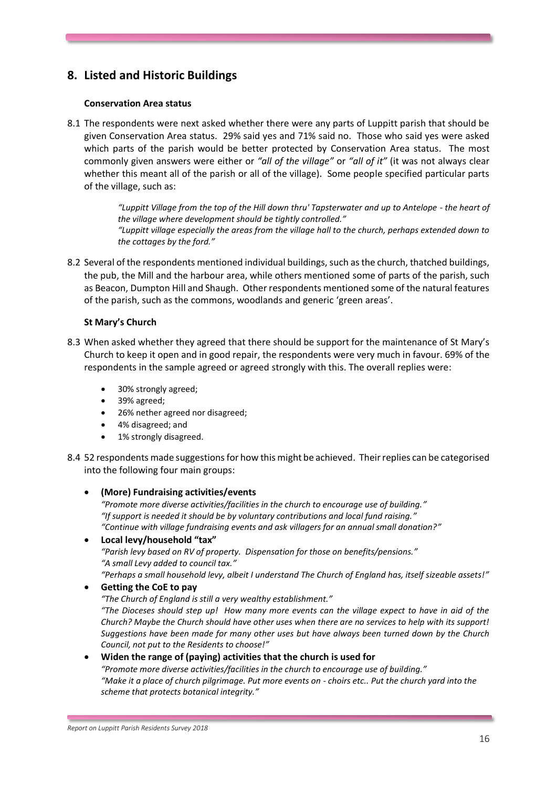# **8. Listed and Historic Buildings**

#### **Conservation Area status**

8.1 The respondents were next asked whether there were any parts of Luppitt parish that should be given Conservation Area status. 29% said yes and 71% said no. Those who said yes were asked which parts of the parish would be better protected by Conservation Area status. The most commonly given answers were either or *"all of the village"* or *"all of it"* (it was not always clear whether this meant all of the parish or all of the village). Some people specified particular parts of the village, such as:

> *"Luppitt Village from the top of the Hill down thru' Tapsterwater and up to Antelope - the heart of the village where development should be tightly controlled." "Luppitt village especially the areas from the village hall to the church, perhaps extended down to the cottages by the ford."*

8.2 Several of the respondents mentioned individual buildings, such as the church, thatched buildings, the pub, the Mill and the harbour area, while others mentioned some of parts of the parish, such as Beacon, Dumpton Hill and Shaugh. Other respondents mentioned some of the natural features of the parish, such as the commons, woodlands and generic 'green areas'.

### **St Mary's Church**

- 8.3 When asked whether they agreed that there should be support for the maintenance of St Mary's Church to keep it open and in good repair, the respondents were very much in favour. 69% of the respondents in the sample agreed or agreed strongly with this. The overall replies were:
	- 30% strongly agreed;
	- 39% agreed;
	- 26% nether agreed nor disagreed;
	- 4% disagreed; and
	- 1% strongly disagreed.
- 8.4 52 respondents made suggestions for how this might be achieved. Their replies can be categorised into the following four main groups:
	- **(More) Fundraising activities/events** *"Promote more diverse activities/facilities in the church to encourage use of building." "If support is needed it should be by voluntary contributions and local fund raising." "Continue with village fundraising events and ask villagers for an annual small donation?"*
	- **Local levy/household "tax"** *"Parish levy based on RV of property. Dispensation for those on benefits/pensions." "A small Levy added to council tax." "Perhaps a small household levy, albeit I understand The Church of England has, itself sizeable assets!"*
	- **Getting the CoE to pay**

*"The Church of England is still a very wealthy establishment." "The Dioceses should step up! How many more events can the village expect to have in aid of the Church? Maybe the Church should have other uses when there are no services to help with its support! Suggestions have been made for many other uses but have always been turned down by the Church* 

*Council, not put to the Residents to choose!"* • **Widen the range of (paying) activities that the church is used for** *"Promote more diverse activities/facilities in the church to encourage use of building." "Make it a place of church pilgrimage. Put more events on - choirs etc.. Put the church yard into the scheme that protects botanical integrity."*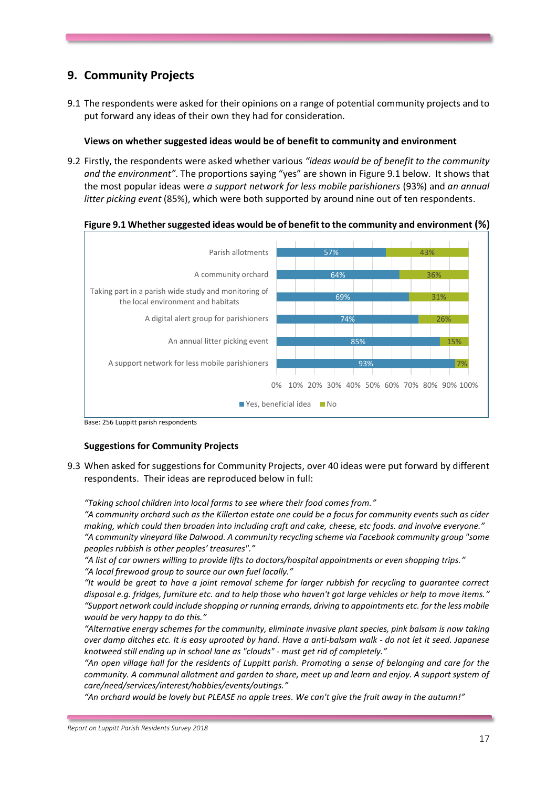# **9. Community Projects**

9.1 The respondents were asked for their opinions on a range of potential community projects and to put forward any ideas of their own they had for consideration.

#### **Views on whether suggested ideas would be of benefit to community and environment**

9.2 Firstly, the respondents were asked whether various *"ideas would be of benefit to the community and the environment"*. The proportions saying "yes" are shown in Figure 9.1 below. It shows that the most popular ideas were *a support network for less mobile parishioners* (93%) and *an annual litter picking event* (85%), which were both supported by around nine out of ten respondents.



Base: 256 Luppitt parish respondents

#### **Suggestions for Community Projects**

9.3 When asked for suggestions for Community Projects, over 40 ideas were put forward by different respondents. Their ideas are reproduced below in full:

*"Taking school children into local farms to see where their food comes from."* 

*"A community orchard such as the Killerton estate one could be a focus for community events such as cider making, which could then broaden into including craft and cake, cheese, etc foods. and involve everyone." "A community vineyard like Dalwood. A community recycling scheme via Facebook community group "some peoples rubbish is other peoples' treasures"."*

*"A list of car owners willing to provide lifts to doctors/hospital appointments or even shopping trips." "A local firewood group to source our own fuel locally."*

*"It would be great to have a joint removal scheme for larger rubbish for recycling to guarantee correct disposal e.g. fridges, furniture etc. and to help those who haven't got large vehicles or help to move items." "Support network could include shopping or running errands, driving to appointments etc. for the less mobile would be very happy to do this."* 

*"Alternative energy schemes for the community, eliminate invasive plant species, pink balsam is now taking over damp ditches etc. It is easy uprooted by hand. Have a anti-balsam walk - do not let it seed. Japanese knotweed still ending up in school lane as "clouds" - must get rid of completely."*

*"An open village hall for the residents of Luppitt parish. Promoting a sense of belonging and care for the community. A communal allotment and garden to share, meet up and learn and enjoy. A support system of care/need/services/interest/hobbies/events/outings."*

*"An orchard would be lovely but PLEASE no apple trees. We can't give the fruit away in the autumn!"*

*Report on Luppitt Parish Residents Survey 2018*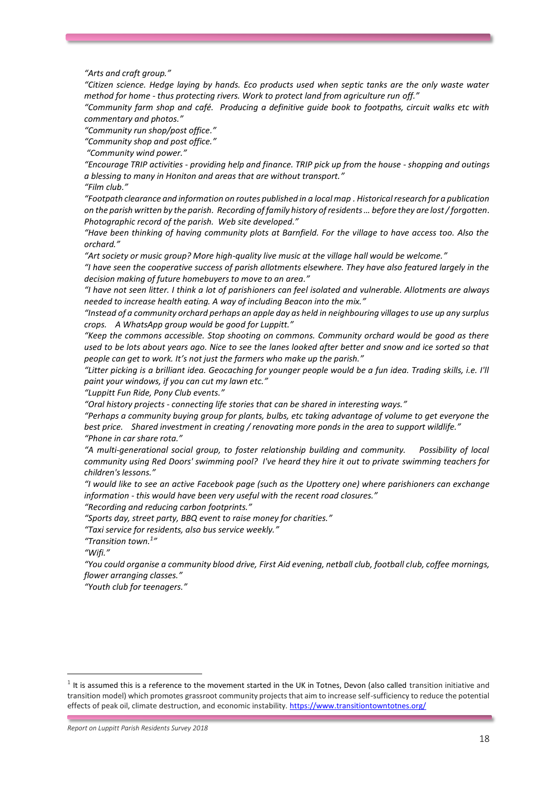*"Arts and craft group."*

*"Citizen science. Hedge laying by hands. Eco products used when septic tanks are the only waste water method for home - thus protecting rivers. Work to protect land from agriculture run off."*

*"Community farm shop and café. Producing a definitive guide book to footpaths, circuit walks etc with commentary and photos."* 

*"Community run shop/post office."*

*"Community shop and post office."*

*"Community wind power."*

*"Encourage TRIP activities - providing help and finance. TRIP pick up from the house - shopping and outings a blessing to many in Honiton and areas that are without transport."*

*"Film club."*

*"Footpath clearance and information on routes published in a local map . Historical research for a publication on the parish written by the parish. Recording of family history of residents … before they are lost / forgotten. Photographic record of the parish. Web site developed."* 

*"Have been thinking of having community plots at Barnfield. For the village to have access too. Also the orchard."*

*"Art society or music group? More high-quality live music at the village hall would be welcome."* 

*"I have seen the cooperative success of parish allotments elsewhere. They have also featured largely in the decision making of future homebuyers to move to an area."*

*"I have not seen litter. I think a lot of parishioners can feel isolated and vulnerable. Allotments are always needed to increase health eating. A way of including Beacon into the mix."*

*"Instead of a community orchard perhaps an apple day as held in neighbouring villages to use up any surplus crops. A WhatsApp group would be good for Luppitt."*

*"Keep the commons accessible. Stop shooting on commons. Community orchard would be good as there used to be lots about years ago. Nice to see the lanes looked after better and snow and ice sorted so that people can get to work. It's not just the farmers who make up the parish."*

*"Litter picking is a brilliant idea. Geocaching for younger people would be a fun idea. Trading skills, i.e. I'll paint your windows, if you can cut my lawn etc."*

*"Luppitt Fun Ride, Pony Club events."*

*"Oral history projects - connecting life stories that can be shared in interesting ways."*

*"Perhaps a community buying group for plants, bulbs, etc taking advantage of volume to get everyone the best price. Shared investment in creating / renovating more ponds in the area to support wildlife." "Phone in car share rota."*

*"A multi-generational social group, to foster relationship building and community. Possibility of local community using Red Doors' swimming pool? I've heard they hire it out to private swimming teachers for children's lessons."*

*"I would like to see an active Facebook page (such as the Upottery one) where parishioners can exchange information - this would have been very useful with the recent road closures."*

*"Recording and reducing carbon footprints."*

*"Sports day, street party, BBQ event to raise money for charities."*

*"Taxi service for residents, also bus service weekly."*

*"Transition town.<sup>1</sup> "*

*"Wifi."*

.

*"You could organise a community blood drive, First Aid evening, netball club, football club, coffee mornings, flower arranging classes."*

*"Youth club for teenagers."*

 $1$  It is assumed this is a reference to the movement started in the UK in Totnes, Devon (also called transition initiative and transition model) which promotes grassroot community projects that aim to increase self-sufficiency to reduce the potential effects of peak oil, climate destruction, and economic instability[. https://www.transitiontowntotnes.org/](https://www.transitiontowntotnes.org/)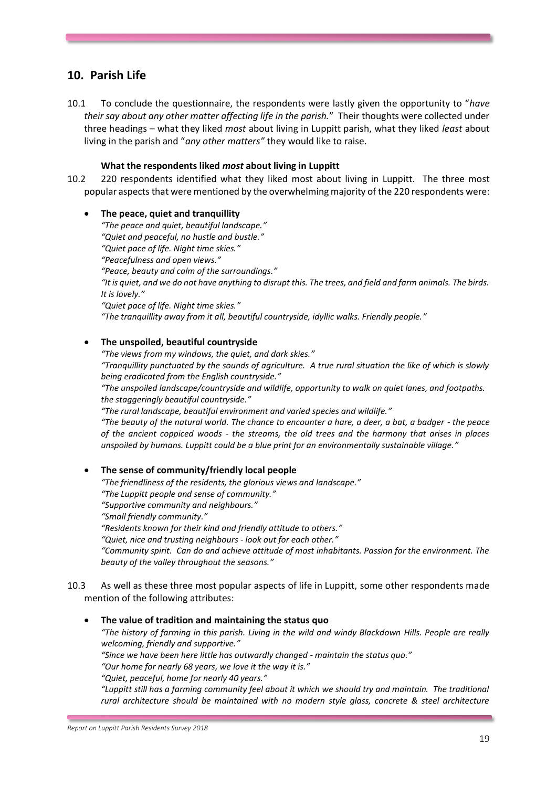# **10. Parish Life**

10.1 To conclude the questionnaire, the respondents were lastly given the opportunity to "*have their say about any other matter affecting life in the parish.*" Their thoughts were collected under three headings – what they liked *most* about living in Luppitt parish, what they liked *least* about living in the parish and "*any other matters"* they would like to raise.

#### **What the respondents liked** *most* **about living in Luppitt**

10.2 220 respondents identified what they liked most about living in Luppitt. The three most popular aspects that were mentioned by the overwhelming majority of the 220 respondents were:

#### • **The peace, quiet and tranquillity**  *"The peace and quiet, beautiful landscape." "Quiet and peaceful, no hustle and bustle." "Quiet pace of life. Night time skies." "Peacefulness and open views." "Peace, beauty and calm of the surroundings." "It is quiet, and we do not have anything to disrupt this. The trees, and field and farm animals. The birds. It is lovely." "Quiet pace of life. Night time skies." "The tranquillity away from it all, beautiful countryside, idyllic walks. Friendly people."*

### • **The unspoiled, beautiful countryside**

*"The views from my windows, the quiet, and dark skies."*

*"Tranquillity punctuated by the sounds of agriculture. A true rural situation the like of which is slowly being eradicated from the English countryside."* 

*"The unspoiled landscape/countryside and wildlife, opportunity to walk on quiet lanes, and footpaths. the staggeringly beautiful countryside."*

*"The rural landscape, beautiful environment and varied species and wildlife."*

*"The beauty of the natural world. The chance to encounter a hare, a deer, a bat, a badger - the peace of the ancient coppiced woods - the streams, the old trees and the harmony that arises in places unspoiled by humans. Luppitt could be a blue print for an environmentally sustainable village."*

#### • **The sense of community/friendly local people**

*"The friendliness of the residents, the glorious views and landscape."*

*"The Luppitt people and sense of community." "Supportive community and neighbours."*

*"Small friendly community."*

*"Residents known for their kind and friendly attitude to others."*

*"Quiet, nice and trusting neighbours - look out for each other."*

*"Community spirit. Can do and achieve attitude of most inhabitants. Passion for the environment. The beauty of the valley throughout the seasons."*

10.3 As well as these three most popular aspects of life in Luppitt, some other respondents made mention of the following attributes:

#### • **The value of tradition and maintaining the status quo**

*"The history of farming in this parish. Living in the wild and windy Blackdown Hills. People are really welcoming, friendly and supportive."*

*"Since we have been here little has outwardly changed - maintain the status quo."*

*"Our home for nearly 68 years, we love it the way it is."*

*"Quiet, peaceful, home for nearly 40 years."*

*"Luppitt still has a farming community feel about it which we should try and maintain. The traditional rural architecture should be maintained with no modern style glass, concrete & steel architecture*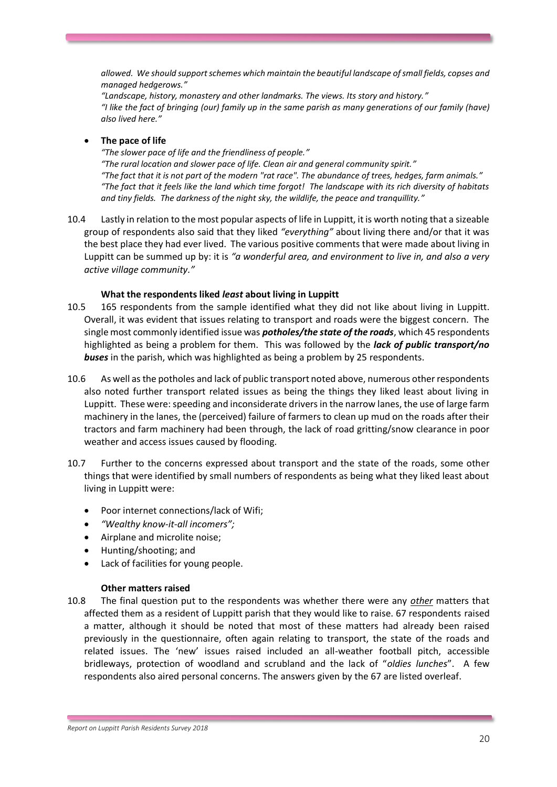*allowed. We should support schemes which maintain the beautiful landscape of small fields, copses and managed hedgerows."*

*"Landscape, history, monastery and other landmarks. The views. Its story and history." "I like the fact of bringing (our) family up in the same parish as many generations of our family (have) also lived here."*

### • **The pace of life**

*"The slower pace of life and the friendliness of people." "The rural location and slower pace of life. Clean air and general community spirit." "The fact that it is not part of the modern "rat race". The abundance of trees, hedges, farm animals." "The fact that it feels like the land which time forgot! The landscape with its rich diversity of habitats and tiny fields. The darkness of the night sky, the wildlife, the peace and tranquillity."*

10.4 Lastly in relation to the most popular aspects of life in Luppitt, it is worth noting that a sizeable group of respondents also said that they liked *"everything"* about living there and/or that it was the best place they had ever lived. The various positive comments that were made about living in Luppitt can be summed up by: it is *"a wonderful area, and environment to live in, and also a very active village community."*

### **What the respondents liked** *least* **about living in Luppitt**

- 10.5 165 respondents from the sample identified what they did not like about living in Luppitt. Overall, it was evident that issues relating to transport and roads were the biggest concern. The single most commonly identified issue was *potholes/the state of the roads*, which 45 respondents highlighted as being a problem for them. This was followed by the *lack of public transport/no buses* in the parish, which was highlighted as being a problem by 25 respondents.
- 10.6 As well as the potholes and lack of public transport noted above, numerous other respondents also noted further transport related issues as being the things they liked least about living in Luppitt. These were: speeding and inconsiderate drivers in the narrow lanes, the use of large farm machinery in the lanes, the (perceived) failure of farmers to clean up mud on the roads after their tractors and farm machinery had been through, the lack of road gritting/snow clearance in poor weather and access issues caused by flooding.
- 10.7 Further to the concerns expressed about transport and the state of the roads, some other things that were identified by small numbers of respondents as being what they liked least about living in Luppitt were:
	- Poor internet connections/lack of Wifi;
	- *"Wealthy know-it-all incomers";*
	- Airplane and microlite noise;
	- Hunting/shooting; and
	- Lack of facilities for young people.

### **Other matters raised**

10.8 The final question put to the respondents was whether there were any *other* matters that affected them as a resident of Luppitt parish that they would like to raise. 67 respondents raised a matter, although it should be noted that most of these matters had already been raised previously in the questionnaire, often again relating to transport, the state of the roads and related issues. The 'new' issues raised included an all-weather football pitch, accessible bridleways, protection of woodland and scrubland and the lack of "*oldies lunches*". A few respondents also aired personal concerns. The answers given by the 67 are listed overleaf.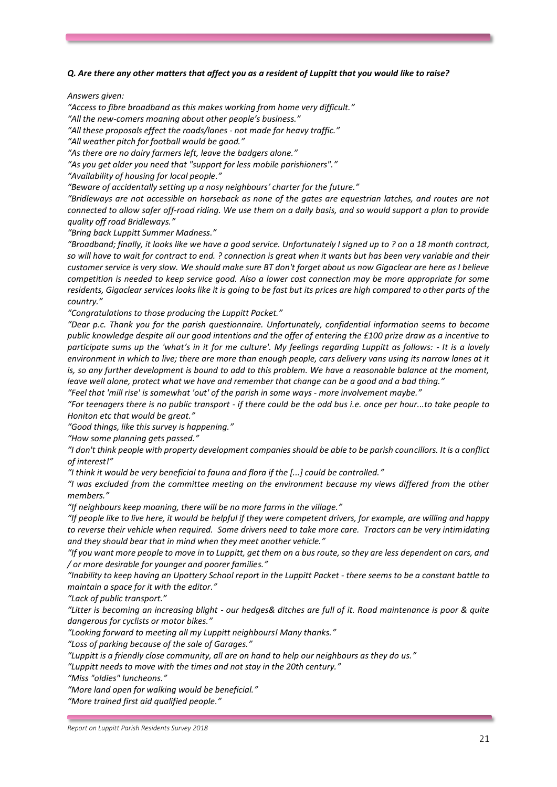#### *Q. Are there any other matters that affect you as a resident of Luppitt that you would like to raise?*

*Answers given:*

*"Access to fibre broadband as this makes working from home very difficult."*

*"All the new-comers moaning about other people's business."*

*"All these proposals effect the roads/lanes - not made for heavy traffic."*

*"All weather pitch for football would be good."*

*"As there are no dairy farmers left, leave the badgers alone."*

*"As you get older you need that "support for less mobile parishioners"."*

*"Availability of housing for local people."*

*"Beware of accidentally setting up a nosy neighbours' charter for the future."*

*"Bridleways are not accessible on horseback as none of the gates are equestrian latches, and routes are not connected to allow safer off-road riding. We use them on a daily basis, and so would support a plan to provide quality off road Bridleways."*

*"Bring back Luppitt Summer Madness."*

*"Broadband; finally, it looks like we have a good service. Unfortunately I signed up to ? on a 18 month contract, so will have to wait for contract to end. ? connection is great when it wants but has been very variable and their customer service is very slow. We should make sure BT don't forget about us now Gigaclear are here as I believe competition is needed to keep service good. Also a lower cost connection may be more appropriate for some residents, Gigaclear services looks like it is going to be fast but its prices are high compared to other parts of the country."*

*"Congratulations to those producing the Luppitt Packet."*

*"Dear p.c. Thank you for the parish questionnaire. Unfortunately, confidential information seems to become public knowledge despite all our good intentions and the offer of entering the £100 prize draw as a incentive to participate sums up the 'what's in it for me culture'. My feelings regarding Luppitt as follows: - It is a lovely environment in which to live; there are more than enough people, cars delivery vans using its narrow lanes at it is, so any further development is bound to add to this problem. We have a reasonable balance at the moment, leave well alone, protect what we have and remember that change can be a good and a bad thing."*

*"Feel that 'mill rise' is somewhat 'out' of the parish in some ways - more involvement maybe."*

*"For teenagers there is no public transport - if there could be the odd bus i.e. once per hour...to take people to Honiton etc that would be great."*

*"Good things, like this survey is happening."*

*"How some planning gets passed."*

*"I don't think people with property development companies should be able to be parish councillors. It is a conflict of interest!"*

*"I think it would be very beneficial to fauna and flora if the [...] could be controlled."*

*"I was excluded from the committee meeting on the environment because my views differed from the other members."*

*"If neighbours keep moaning, there will be no more farms in the village."*

*"If people like to live here, it would be helpful if they were competent drivers, for example, are willing and happy to reverse their vehicle when required. Some drivers need to take more care. Tractors can be very intimidating and they should bear that in mind when they meet another vehicle."* 

*"If you want more people to move in to Luppitt, get them on a bus route, so they are less dependent on cars, and / or more desirable for younger and poorer families."*

*"Inability to keep having an Upottery School report in the Luppitt Packet - there seems to be a constant battle to maintain a space for it with the editor."*

*"Lack of public transport."*

*"Litter is becoming an increasing blight - our hedges& ditches are full of it. Road maintenance is poor & quite dangerous for cyclists or motor bikes."*

*"Looking forward to meeting all my Luppitt neighbours! Many thanks."*

*"Loss of parking because of the sale of Garages."*

*"Luppitt is a friendly close community, all are on hand to help our neighbours as they do us."*

*"Luppitt needs to move with the times and not stay in the 20th century."*

*"Miss "oldies" luncheons."*

*"More land open for walking would be beneficial."* 

*"More trained first aid qualified people."*

*Report on Luppitt Parish Residents Survey 2018*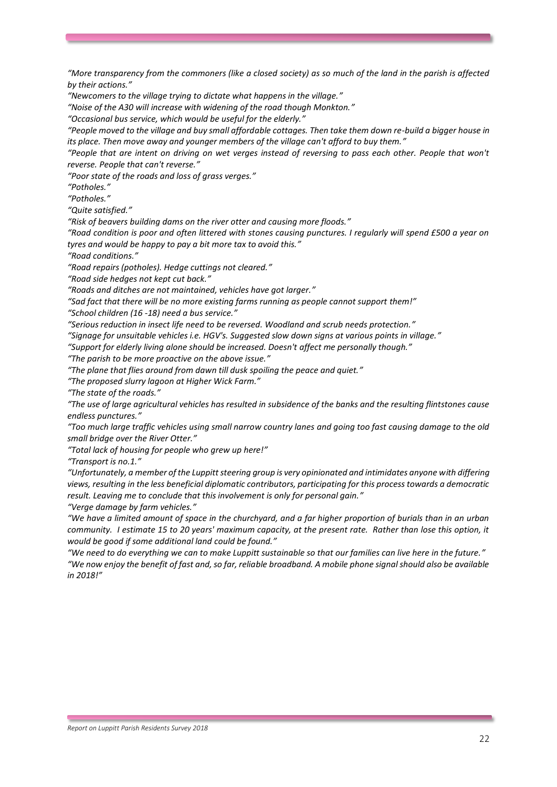*"More transparency from the commoners (like a closed society) as so much of the land in the parish is affected by their actions."*

*"Newcomers to the village trying to dictate what happens in the village."*

*"Noise of the A30 will increase with widening of the road though Monkton."*

*"Occasional bus service, which would be useful for the elderly."*

*"People moved to the village and buy small affordable cottages. Then take them down re-build a bigger house in its place. Then move away and younger members of the village can't afford to buy them."*

*"People that are intent on driving on wet verges instead of reversing to pass each other. People that won't reverse. People that can't reverse."*

*"Poor state of the roads and loss of grass verges."*

*"Potholes."*

*"Potholes."*

*"Quite satisfied."*

*"Risk of beavers building dams on the river otter and causing more floods."*

*"Road condition is poor and often littered with stones causing punctures. I regularly will spend £500 a year on tyres and would be happy to pay a bit more tax to avoid this."*

*"Road conditions."*

*"Road repairs (potholes). Hedge cuttings not cleared."*

*"Road side hedges not kept cut back."*

*"Roads and ditches are not maintained, vehicles have got larger."*

*"Sad fact that there will be no more existing farms running as people cannot support them!"*

*"School children (16 -18) need a bus service."*

*"Serious reduction in insect life need to be reversed. Woodland and scrub needs protection."*

*"Signage for unsuitable vehicles i.e. HGV's. Suggested slow down signs at various points in village."*

*"Support for elderly living alone should be increased. Doesn't affect me personally though."*

*"The parish to be more proactive on the above issue."*

*"The plane that flies around from dawn till dusk spoiling the peace and quiet."*

*"The proposed slurry lagoon at Higher Wick Farm."*

*"The state of the roads."*

*"The use of large agricultural vehicles has resulted in subsidence of the banks and the resulting flintstones cause endless punctures."* 

*"Too much large traffic vehicles using small narrow country lanes and going too fast causing damage to the old small bridge over the River Otter."*

*"Total lack of housing for people who grew up here!"*

*"Transport is no.1."*

*"Unfortunately, a member of the Luppitt steering group is very opinionated and intimidates anyone with differing views, resulting in the less beneficial diplomatic contributors, participating for this process towards a democratic result. Leaving me to conclude that this involvement is only for personal gain."*

*"Verge damage by farm vehicles."*

*"We have a limited amount of space in the churchyard, and a far higher proportion of burials than in an urban community. I estimate 15 to 20 years' maximum capacity, at the present rate. Rather than lose this option, it would be good if some additional land could be found."*

*"We need to do everything we can to make Luppitt sustainable so that our families can live here in the future." "We now enjoy the benefit of fast and, so far, reliable broadband. A mobile phone signal should also be available in 2018!"*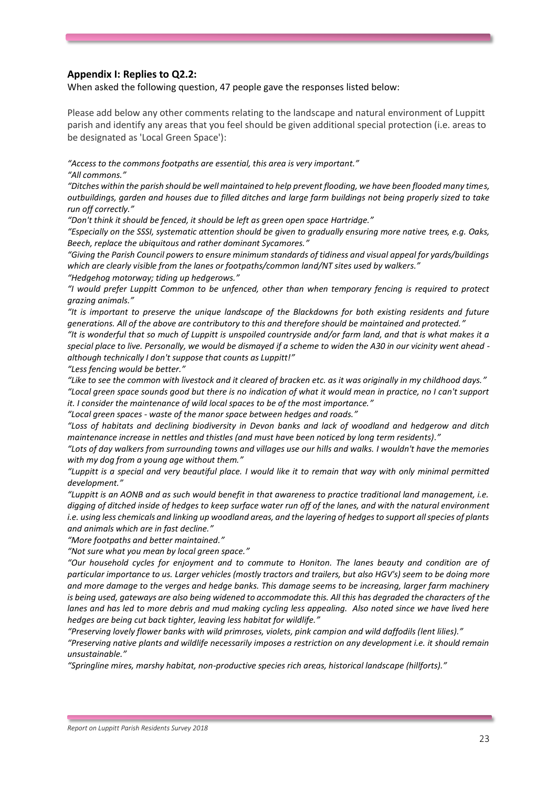### **Appendix I: Replies to Q2.2:**

When asked the following question, 47 people gave the responses listed below:

Please add below any other comments relating to the landscape and natural environment of Luppitt parish and identify any areas that you feel should be given additional special protection (i.e. areas to be designated as 'Local Green Space'):

*"Access to the commons footpaths are essential, this area is very important."* 

*"All commons."*

*"Ditches within the parish should be well maintained to help prevent flooding, we have been flooded many times, outbuildings, garden and houses due to filled ditches and large farm buildings not being properly sized to take run off correctly."*

*"Don't think it should be fenced, it should be left as green open space Hartridge."*

*"Especially on the SSSI, systematic attention should be given to gradually ensuring more native trees, e.g. Oaks, Beech, replace the ubiquitous and rather dominant Sycamores."*

*"Giving the Parish Council powers to ensure minimum standards of tidiness and visual appeal for yards/buildings which are clearly visible from the lanes or footpaths/common land/NT sites used by walkers."*

*"Hedgehog motorway; tiding up hedgerows."*

*"I would prefer Luppitt Common to be unfenced, other than when temporary fencing is required to protect grazing animals."*

*"It is important to preserve the unique landscape of the Blackdowns for both existing residents and future generations. All of the above are contributory to this and therefore should be maintained and protected."*

*"It is wonderful that so much of Luppitt is unspoiled countryside and/or farm land, and that is what makes it a special place to live. Personally, we would be dismayed if a scheme to widen the A30 in our vicinity went ahead although technically I don't suppose that counts as Luppitt!"*

*"Less fencing would be better."*

*"Like to see the common with livestock and it cleared of bracken etc. as it was originally in my childhood days." "Local green space sounds good but there is no indication of what it would mean in practice, no I can't support* 

*it. I consider the maintenance of wild local spaces to be of the most importance."*

*"Local green spaces - waste of the manor space between hedges and roads."*

*"Loss of habitats and declining biodiversity in Devon banks and lack of woodland and hedgerow and ditch maintenance increase in nettles and thistles (and must have been noticed by long term residents)."*

*"Lots of day walkers from surrounding towns and villages use our hills and walks. I wouldn't have the memories with my dog from a young age without them."*

*"Luppitt is a special and very beautiful place. I would like it to remain that way with only minimal permitted development."*

*"Luppitt is an AONB and as such would benefit in that awareness to practice traditional land management, i.e. digging of ditched inside of hedges to keep surface water run off of the lanes, and with the natural environment i.e. using less chemicals and linking up woodland areas, and the layering of hedges to support all species of plants and animals which are in fast decline."*

*"More footpaths and better maintained."*

*"Not sure what you mean by local green space."*

*"Our household cycles for enjoyment and to commute to Honiton. The lanes beauty and condition are of particular importance to us. Larger vehicles (mostly tractors and trailers, but also HGV's) seem to be doing more and more damage to the verges and hedge banks. This damage seems to be increasing, larger farm machinery is being used, gateways are also being widened to accommodate this. All this has degraded the characters of the lanes and has led to more debris and mud making cycling less appealing. Also noted since we have lived here hedges are being cut back tighter, leaving less habitat for wildlife."*

*"Preserving lovely flower banks with wild primroses, violets, pink campion and wild daffodils (lent lilies)."*

*"Preserving native plants and wildlife necessarily imposes a restriction on any development i.e. it should remain unsustainable."*

*"Springline mires, marshy habitat, non-productive species rich areas, historical landscape (hillforts)."*